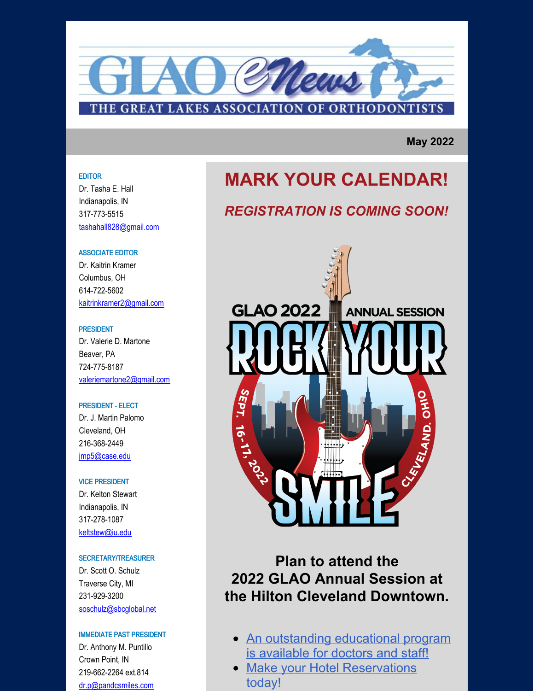

**May 2022**

#### EDITOR

Dr. Tasha E. Hall Indianapolis, IN 317-773-5515 [tashahall828@gmail.com](mailto:tashahall828@gmail.com)

#### ASSOCIATE EDITOR

Dr. Kaitrin Kramer Columbus, OH 614-722-5602 [kaitrinkramer2@gmail.com](mailto:kaitrinkramer2@gmail.com)

#### PRESIDENT

Dr. Valerie D. Martone Beaver, PA 724-775-8187 [valeriemartone2@gmail.com](mailto:vmartone@aol.com)

#### PRESIDENT - ELECT

Dr. J. Martin Palomo Cleveland, OH 216-368-2449 [jmp5@case.edu](mailto:jmp5@case.edu)

#### VICE PRESIDENT

Dr. Kelton Stewart Indianapolis, IN 317-278-1087 [keltstew@iu.edu](mailto:keltstew@iu.edu)

#### SECRETARY/TREASURER

Dr. Scott O. Schulz Traverse City, MI 231-929-3200 [soschulz@sbcglobal.net](mailto:soschulz@sbcglobal.net)

#### IMMEDIATE PAST PRESIDENT

Dr. Anthony M. Puntillo Crown Point, IN 219-662-2264 ext.814 [dr.p@pandcsmiles.com](mailto:dr.p@pandcsmiles.com)

# **MARK YOUR CALENDAR!**

## *REGISTRATION IS COMING SOON!*



# **Plan to attend the 2022 GLAO Annual Session at the Hilton Cleveland Downtown.**

- An [outstanding](https://www.glao.org/common/pages/UserFile.aspx?fileId=1333374) educational program is available for doctors and staff!
- Make your Hotel [Reservations](https://book.passkey.com/event/50242629/owner/14238363/home) today!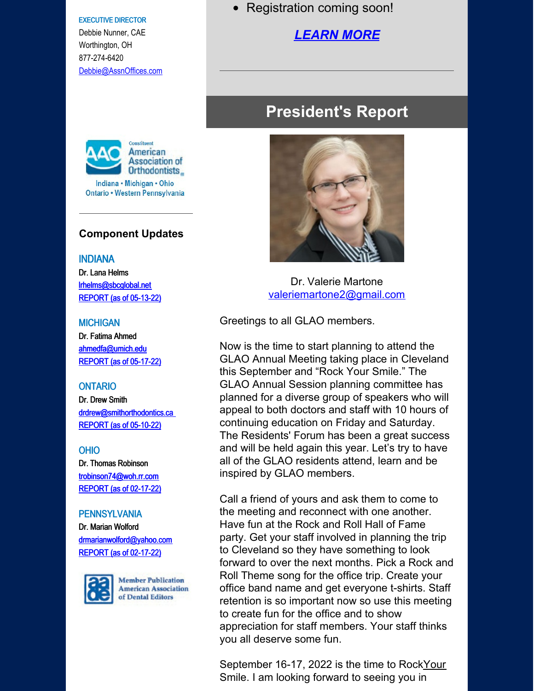#### EXECUTIVE DIRECTOR

Debbie Nunner, CAE Worthington, OH 877-274-6420 [Debbie@AssnOffices.com](http://Debbie@assnoffices.com)



### **Component Updates**

#### INDIANA

Dr. Lana Helms [lrhelms@sbcglobal.net](mailto:lrhelms@sbcglobal.net) [REPORT](https://www.glao.org/common/pages/UserFile.aspx?fileId=1332421) (as of 05-13-22)

#### **MICHIGAN**

Dr. Fatima Ahmed [ahmedfa@umich.edu](mailto:ahmedfa@umich.edu) [REPORT](https://www.glao.org/common/pages/UserFile.aspx?fileId=1332524) (as of 05-17-22)

#### **ONTARIO**

Dr. Drew Smith [drdrew@smithorthodontics.ca](mailto:drdrew@smithorthodontics.ca) [REPORT](https://www.glao.org/common/pages/UserFile.aspx?fileId=1332122) (as of 05-10-22)

#### OHIO

Dr. Thomas [Robinson](https://app.constantcontact.com/pages/campaigns/email#) [trobinson74@woh.rr.com](mailto:trobinson74@woh.rr.com) [REPORT](https://www.glao.org/common/pages/UserFile.aspx?fileId=1325181) (as of 02-17-22)

#### **PENNSYLVANIA**

Dr. Marian Wolford [drmarianwolford@yahoo.com](mailto:drmarianwolford@yahoo.com) [REPORT](https://www.glao.org/common/pages/UserFile.aspx?fileId=1324998) (as of 02-17-22)



**Member Publication American Association** of Dental Editors

• Registration coming soon!

## *[LEARN](https://www.glao.org/meetings-education/2022-annual-session) MORE*

# **President's Report**



Dr. Valerie Martone [valeriemartone2@gmail.com](mailto:valeriemartone2@gmail.com)

Greetings to all GLAO members.

Now is the time to start planning to attend the GLAO Annual Meeting taking place in Cleveland this September and "Rock Your Smile." The GLAO Annual Session planning committee has planned for a diverse group of speakers who will appeal to both doctors and staff with 10 hours of continuing education on Friday and Saturday. The Residents' Forum has been a great success and will be held again this year. Let's try to have all of the GLAO residents attend, learn and be inspired by GLAO members.

Call a friend of yours and ask them to come to the meeting and reconnect with one another. Have fun at the Rock and Roll Hall of Fame party. Get your staff involved in planning the trip to Cleveland so they have something to look forward to over the next months. Pick a Rock and Roll Theme song for the office trip. Create your office band name and get everyone t-shirts. Staff retention is so important now so use this meeting to create fun for the office and to show appreciation for staff members. Your staff thinks you all deserve some fun.

September 16-17, 2022 is the time to RockYour Smile. I am looking forward to seeing you in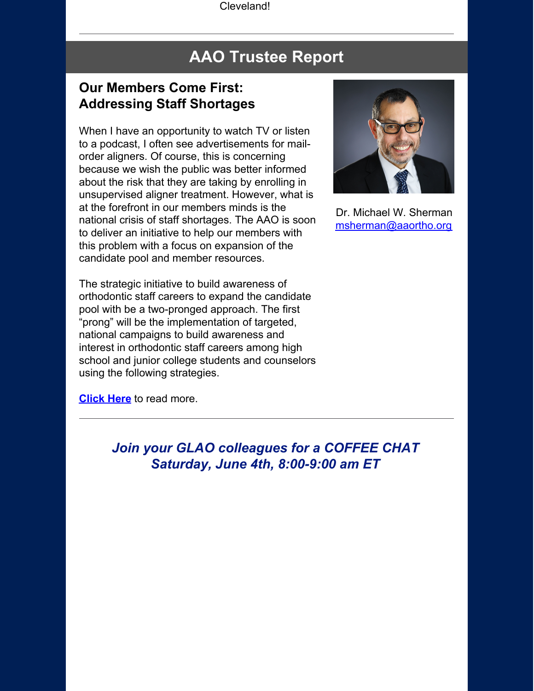Cleveland!

# **AAO Trustee Report**

## **Our Members Come First: Addressing Staff Shortages**

When I have an opportunity to watch TV or listen to a podcast, I often see advertisements for mailorder aligners. Of course, this is concerning because we wish the public was better informed about the risk that they are taking by enrolling in unsupervised aligner treatment. However, what is at the forefront in our members minds is the national crisis of staff shortages. The AAO is soon to deliver an initiative to help our members with this problem with a focus on expansion of the candidate pool and member resources.



Dr. Michael W. Sherman [msherman@aaortho.org](mailto:msherman@aaortho.org)

The strategic initiative to build awareness of orthodontic staff careers to expand the candidate pool with be a two-pronged approach. The first "prong" will be the implementation of targeted, national campaigns to build awareness and interest in orthodontic staff careers among high school and junior college students and counselors using the following strategies.

**[Click](https://www.glao.org/common/pages/UserFile.aspx?fileId=1333061) Here** to read more.

*Join your GLAO colleagues for a COFFEE CHAT Saturday, June 4th, 8:00-9:00 am ET*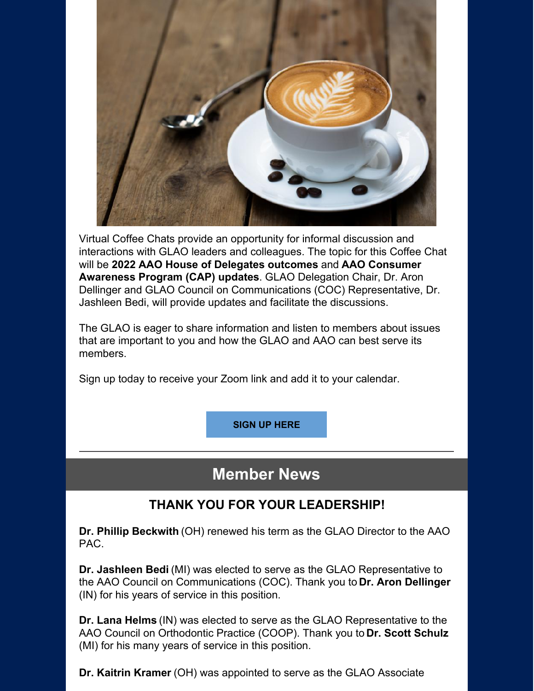

Virtual Coffee Chats provide an opportunity for informal discussion and interactions with GLAO leaders and colleagues. The topic for this Coffee Chat will be **2022 AAO House of Delegates outcomes** and **AAO Consumer Awareness Program (CAP) updates**. GLAO Delegation Chair, Dr. Aron Dellinger and GLAO Council on Communications (COC) Representative, Dr. Jashleen Bedi, will provide updates and facilitate the discussions.

The GLAO is eager to share information and listen to members about issues that are important to you and how the GLAO and AAO can best serve its members.

Sign up today to receive your Zoom link and add it to your calendar.

**SIGN UP [HERE](https://us02web.zoom.us/meeting/register/tZUsde6hqzwuE9F46w9TsbGTg1I3WgnrVb-f)**

# **Member News**

## **THANK YOU FOR YOUR LEADERSHIP!**

**Dr. Phillip Beckwith** (OH) renewed his term as the GLAO Director to the AAO PAC.

**Dr. Jashleen Bedi** (MI) was elected to serve as the GLAO Representative to the AAO Council on Communications (COC). Thank you to **Dr. Aron Dellinger** (IN) for his years of service in this position.

**Dr. Lana Helms** (IN) was elected to serve as the GLAO Representative to the AAO Council on Orthodontic Practice (COOP). Thank you to **Dr. Scott Schulz** (MI) for his many years of service in this position.

**Dr. Kaitrin Kramer** (OH) was appointed to serve as the GLAO Associate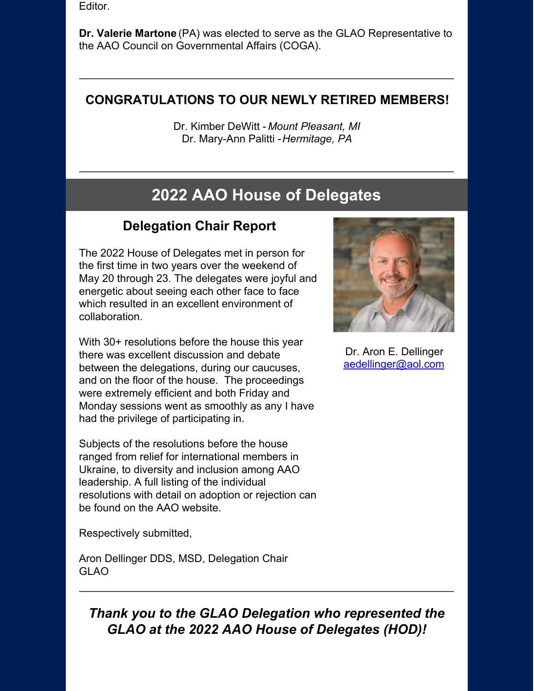Editor.

**Dr. Valerie Martone** (PA) was elected to serve as the GLAO Representative to the AAO Council on Governmental Affairs (COGA).

## **CONGRATULATIONS TO OUR NEWLY RETIRED MEMBERS!**

Dr. Kimber DeWitt - *Mount Pleasant, MI* Dr. Mary-Ann Palitti -*Hermitage, PA*

# **2022 AAO House of Delegates**

# **Delegation Chair Report**

The 2022 House of Delegates met in person for the first time in two years over the weekend of May 20 through 23. The delegates were joyful and energetic about seeing each other face to face which resulted in an excellent environment of collaboration.

With 30+ resolutions before the house this year there was excellent discussion and debate between the delegations, during our caucuses, and on the floor of the house. The proceedings were extremely efficient and both Friday and Monday sessions went as smoothly as any I have had the privilege of participating in.

Subjects of the resolutions before the house ranged from relief for international members in Ukraine, to diversity and inclusion among AAO leadership. A full listing of the individual resolutions with detail on adoption or rejection can be found on the AAO website.

Respectively submitted,

Aron Dellinger DDS, MSD, Delegation Chair GLAO



Dr. Aron E. Dellinger [aedellinger@aol.com](mailto:aedellinger@aol.com)

*Thank you to the GLAO Delegation who represented the GLAO at the 2022 AAO House of Delegates (HOD)!*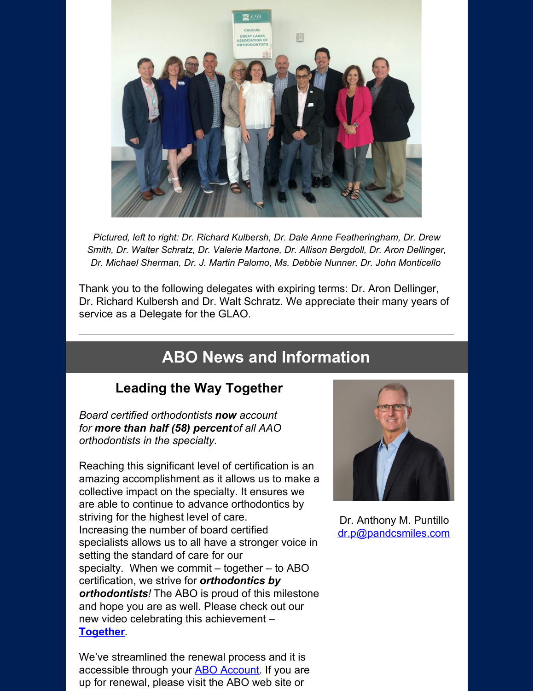

*Pictured, left to right: Dr. Richard Kulbersh, Dr. Dale Anne Featheringham, Dr. Drew Smith, Dr. Walter Schratz, Dr. Valerie Martone, Dr. Allison Bergdoll, Dr. Aron Dellinger, Dr. Michael Sherman, Dr. J. Martin Palomo, Ms. Debbie Nunner, Dr. John Monticello*

Thank you to the following delegates with expiring terms: Dr. Aron Dellinger, Dr. Richard Kulbersh and Dr. Walt Schratz. We appreciate their many years of service as a Delegate for the GLAO.

# **ABO News and Information**

## **Leading the Way Together**

*Board certified orthodontists now account for more than half (58) percentof all AAO orthodontists in the specialty.*

Reaching this significant level of certification is an amazing accomplishment as it allows us to make a collective impact on the specialty. It ensures we are able to continue to advance orthodontics by striving for the highest level of care. Increasing the number of board certified specialists allows us to all have a stronger voice in setting the standard of care for our specialty. When we commit – together – to ABO certification, we strive for *orthodontics by orthodontists!* The ABO is proud of this milestone and hope you are as well. Please check out our new video celebrating this achievement – **[Together](https://www.youtube.com/watch?v=GadRsG19L9s&t=3s)**.

We've streamlined the renewal process and it is accessible through your **ABO [Account](https://click.icptrack.com/icp/relay.php?r=37133129&msgid=936142&act=WDA5&c=478720&pid=5066080&destination=https%3A%2F%2Fabo.roc-p.com%2F&cf=49831&v=15d0c99b751231962fe5f0d4a487894174a4ab5871da2d3d22d3205de7f71ba3)**. If you are up for renewal, please visit the ABO web site or



Dr. Anthony M. Puntillo [dr.p@pandcsmiles.com](mailto:dr.p@pandcsmiles.com)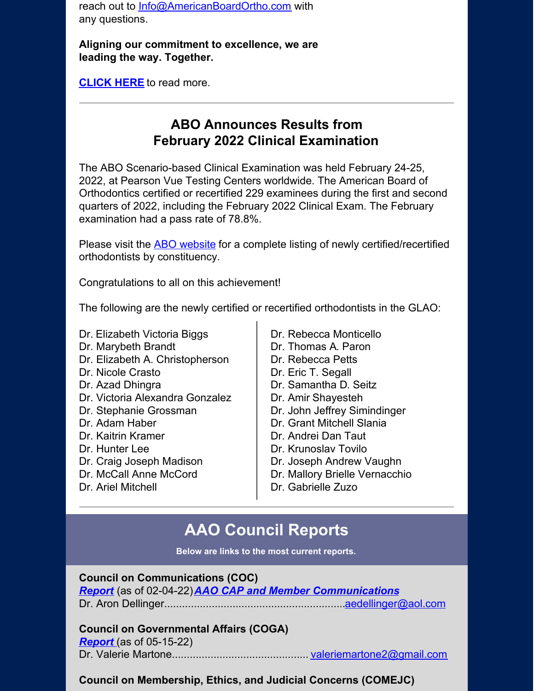reach out to [Info@AmericanBoardOrtho.com](mailto:Info@AmericanBoardOrtho.com) with any questions.

**Aligning our commitment to excellence, we are leading the way. Together.**

**[CLICK](https://www.glao.org/common/pages/UserFile.aspx?fileId=1333382) HERE** to read more.

# **ABO Announces Results from February 2022 Clinical Examination**

The ABO Scenario-based Clinical Examination was held February 24-25, 2022, at Pearson Vue Testing Centers worldwide. The American Board of Orthodontics certified or recertified 229 examinees during the first and second quarters of 2022, including the February 2022 Clinical Exam. The February examination had a pass rate of 78.8%.

Please visit the **ABO** [website](https://click.icptrack.com/icp/relay.php?r=37133129&msgid=913659&act=WDA5&c=478720&pid=5064568&destination=https%3A%2F%2Fwww.americanboardortho.com%2Fmedia%2Fvalnrzpy%2Fabo-announces-newly-certified-or-recertified-orthodontists-february-2022-scenario-based-clinical-exam.pdf&cf=49831&v=166d930bcda6171f8a493e4a8392276b02fcf7ad31b149b94eec48e2cf1cbe58) for a complete listing of newly certified/recertified orthodontists by constituency.

Congratulations to all on this achievement!

The following are the newly certified or recertified orthodontists in the GLAO:

- Dr. Elizabeth Victoria Biggs
- Dr. Marybeth Brandt
- Dr. Elizabeth A. Christopherson
- Dr. Nicole Crasto
- Dr. Azad Dhingra
- Dr. Victoria Alexandra Gonzalez
- Dr. Stephanie Grossman
- Dr. Adam Haber
- Dr. Kaitrin Kramer
- Dr. Hunter Lee
- Dr. Craig Joseph Madison
- Dr. McCall Anne McCord
- Dr. Ariel Mitchell
- Dr. Rebecca Monticello
- Dr. Thomas A. Paron
- Dr. Rebecca Petts
- Dr. Eric T. Segall
- Dr. Samantha D. Seitz
- Dr. Amir Shayesteh
- Dr. John Jeffrey Simindinger
- Dr. Grant Mitchell Slania
- Dr. Andrei Dan Taut
- Dr. Krunoslav Tovilo
- Dr. Joseph Andrew Vaughn
- Dr. Mallory Brielle Vernacchio
- Dr. Gabrielle Zuzo

# **AAO Council Reports**

**Below are links to the most current reports.**

## **Council on Communications (COC)**

*[Report](https://www.glao.org/common/pages/UserFile.aspx?fileId=1324467)* (as of 02-04-22)*AAO CAP and Member [Communications](https://www.glao.org/common/pages/UserFile.aspx?fileId=1324474)* Dr. Aron Dellinger............................................................[.aedellinger@aol.com](mailto:aedellinger@aol.com)

## **Council on Governmental Affairs (COGA)**

*[Report](https://www.glao.org/common/pages/UserFile.aspx?fileId=1333390)* (as of 05-15-22) Dr. Valerie Martone.............................................. [valeriemartone2@gmail.com](mailto:valeriemartone2@gmail.com)

## **Council on Membership, Ethics, and Judicial Concerns (COMEJC)**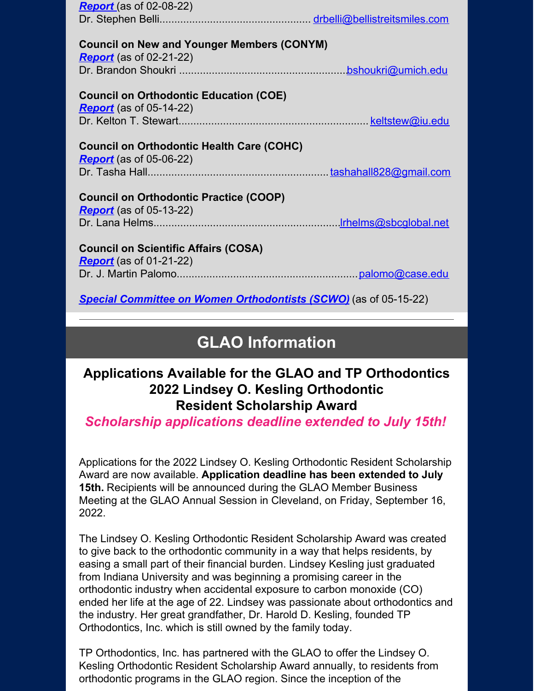| <b>Report</b> (as of 02-08-22)                    |  |
|---------------------------------------------------|--|
|                                                   |  |
|                                                   |  |
| <b>Council on New and Younger Members (CONYM)</b> |  |
| <b>Report</b> (as of 02-21-22)                    |  |
|                                                   |  |
| <b>Council on Orthodontic Education (COE)</b>     |  |
| <b>Report</b> (as of 05-14-22)                    |  |
|                                                   |  |
|                                                   |  |
| <b>Council on Orthodontic Health Care (COHC)</b>  |  |
| <b>Report</b> (as of 05-06-22)                    |  |
|                                                   |  |
|                                                   |  |
| <b>Council on Orthodontic Practice (COOP)</b>     |  |
| <b>Report</b> (as of 05-13-22)                    |  |
|                                                   |  |
|                                                   |  |
| <b>Council on Scientific Affairs (COSA)</b>       |  |
| <b>Report</b> (as of 01-21-22)                    |  |
|                                                   |  |
|                                                   |  |

*Special Committee on Women [Orthodontists](https://www.glao.org/common/pages/UserFile.aspx?fileId=1332541) (SCWO)* (as of 05-15-22)

# **GLAO Information**

# **Applications Available for the GLAO and TP Orthodontics 2022 Lindsey O. Kesling Orthodontic Resident Scholarship Award**

*Scholarship applications deadline extended to July 15th!*

Applications for the 2022 Lindsey O. Kesling Orthodontic Resident Scholarship Award are now available. **Application deadline has been extended to July 15th.** Recipients will be announced during the GLAO Member Business Meeting at the GLAO Annual Session in Cleveland, on Friday, September 16, 2022.

The Lindsey O. Kesling Orthodontic Resident Scholarship Award was created to give back to the orthodontic community in a way that helps residents, by easing a small part of their financial burden. Lindsey Kesling just graduated from Indiana University and was beginning a promising career in the orthodontic industry when accidental exposure to carbon monoxide (CO) ended her life at the age of 22. Lindsey was passionate about orthodontics and the industry. Her great grandfather, Dr. Harold D. Kesling, founded TP Orthodontics, Inc. which is still owned by the family today.

TP Orthodontics, Inc. has partnered with the GLAO to offer the Lindsey O. Kesling Orthodontic Resident Scholarship Award annually, to residents from orthodontic programs in the GLAO region. Since the inception of the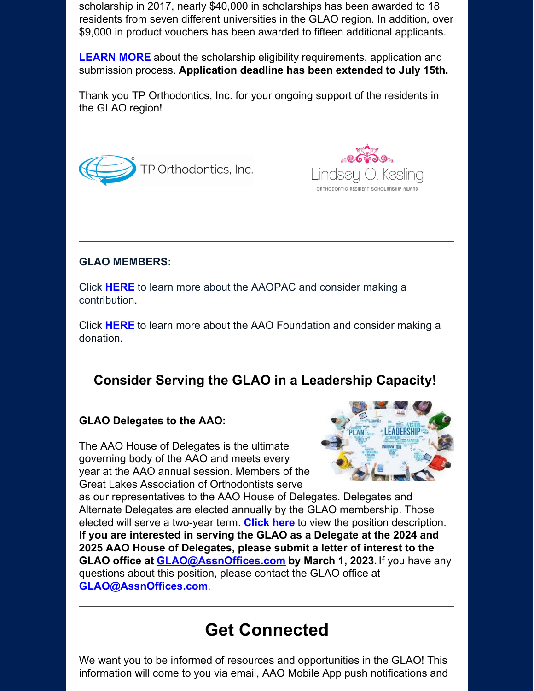scholarship in 2017, nearly \$40,000 in scholarships has been awarded to 18 residents from seven different universities in the GLAO region. In addition, over \$9,000 in product vouchers has been awarded to fifteen additional applicants.

**[LEARN](https://www.glao.org/about-glao/resident-scholarship) MORE** about the scholarship eligibility requirements, application and submission process. **Application deadline has been extended to July 15th.**

Thank you TP Orthodontics, Inc. for your ongoing support of the residents in the GLAO region!





## **GLAO MEMBERS:**

Click **[HERE](https://www2.aaoinfo.org/advocacy/aao-pac/)** to learn more about the AAOPAC and consider making a contribution.

Click **[HERE](http://www.aaofoundation.net/)** to learn more about the AAO Foundation and consider making a donation.

# **Consider Serving the GLAO in a Leadership Capacity!**

## **GLAO Delegates to the AAO:**

The AAO House of Delegates is the ultimate governing body of the AAO and meets every year at the AAO annual session. Members of the Great Lakes Association of Orthodontists serve



as our representatives to the AAO House of Delegates. Delegates and Alternate Delegates are elected annually by the GLAO membership. Those elected will serve a two-year term. **[Click](https://tvp1cdn4static.civiclive.com/UserFiles/Servers/Server_858676/Templates/pdf/Delegate-Position-Description.pdf) here** to view the position description. **If you are interested in serving the GLAO as a Delegate at the 2024 and 2025 AAO House of Delegates, please submit a letter of interest to the GLAO office at [GLAO@AssnOffices.com](mailto:glao@assnoffices.com) by March 1, 2023.** If you have any questions about this position, please contact the GLAO office at **[GLAO@AssnOffices.com](mailto:glao@assnoffices.com)**.

# **Get Connected**

We want you to be informed of resources and opportunities in the GLAO! This information will come to you via email, AAO Mobile App push notifications and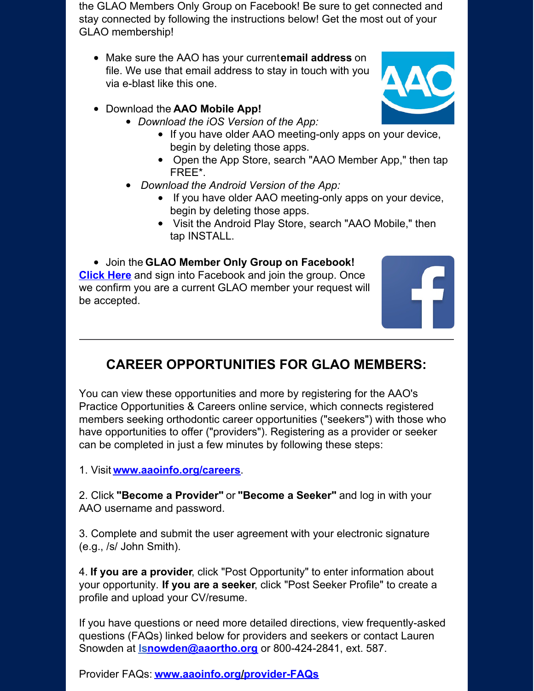the GLAO Members Only Group on Facebook! Be sure to get connected and stay connected by following the instructions below! Get the most out of your GLAO membership!

- Make sure the AAO has your current**email address** on file. We use that email address to stay in touch with you via e-blast like this one.
- Download the **AAO Mobile App!**
	- *Download the iOS Version of the App:*
		- If you have older AAO meeting-only apps on your device, begin by deleting those apps.
		- Open the App Store, search "AAO Member App," then tap FREE\*.
	- *Download the Android Version of the App:*
		- If you have older AAO meeting-only apps on your device, begin by deleting those apps.
		- Visit the Android Play Store, search "AAO Mobile," then tap INSTALL.

## Join the **GLAO Member Only Group on Facebook!**

**[Click](http://r20.rs6.net/tn.jsp?t=qcio6ocbb.0.0.kscwtusab.0&id=preview&r=3&p=https%3A%2F%2Fwww.facebook.com%2Flogin%2F%3Fnext%3Dhttps%253A%252F%252Fwww.facebook.com%252Fgroups%252FGLAOMembers%252F%253Fref%253Dbookmarks) Here** and sign into Facebook and join the group. Once we confirm you are a current GLAO member your request will be accepted.

# **CAREER OPPORTUNITIES FOR GLAO MEMBERS:**

You can view these opportunities and more by registering for the AAO's Practice Opportunities & Careers online service, which connects registered members seeking orthodontic career opportunities ("seekers") with those who have opportunities to offer ("providers"). Registering as a provider or seeker can be completed in just a few minutes by following these steps:

1. Visit **[www.aaoinfo.org/careers](http://r20.rs6.net/tn.jsp?t=qcio6ocbb.0.0.kscwtusab.0&id=preview&r=3&p=http%3A%2F%2Fwww.aaoinfo.org%2Fcareers)**.

2. Click **"Become a Provider"** or **"Become a Seeker"** and log in with your AAO username and password.

3. Complete and submit the user agreement with your electronic signature (e.g., /s/ John Smith).

4. **If you are a provider**, click "Post Opportunity" to enter information about your opportunity. **If you are a seeker**, click "Post Seeker Profile" to create a profile and upload your CV/resume.

If you have questions or need more detailed directions, view frequently-asked questions (FAQs) linked below for providers and seekers or contact Lauren Snowden at **[lsnowden@aaortho.org](mailto:lsnowden@aaortho.org)** or 800-424-2841, ext. 587.

Provider FAQs: **[www.aaoinfo.org/provider-FAQs](http://r20.rs6.net/tn.jsp?t=qcio6ocbb.0.0.kscwtusab.0&id=preview&r=3&p=http%3A%2F%2Fwww.aaoinfo.org%2Fprovider-FAQs)**